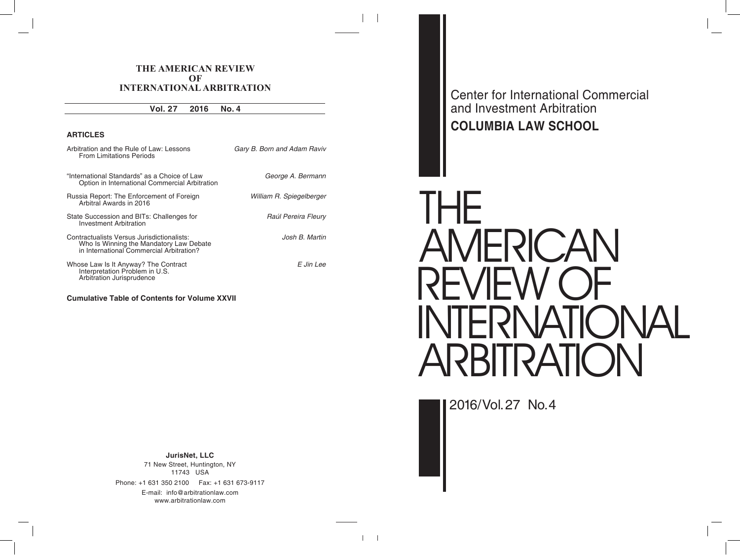Center for International Commercial and Investment Arbitration **COLUMBIA LAW SCHOOL**

# THE AMERICAN REVIEW OF INTERNATIONAL ARBITRATION

2016/Vol. 27 No. 4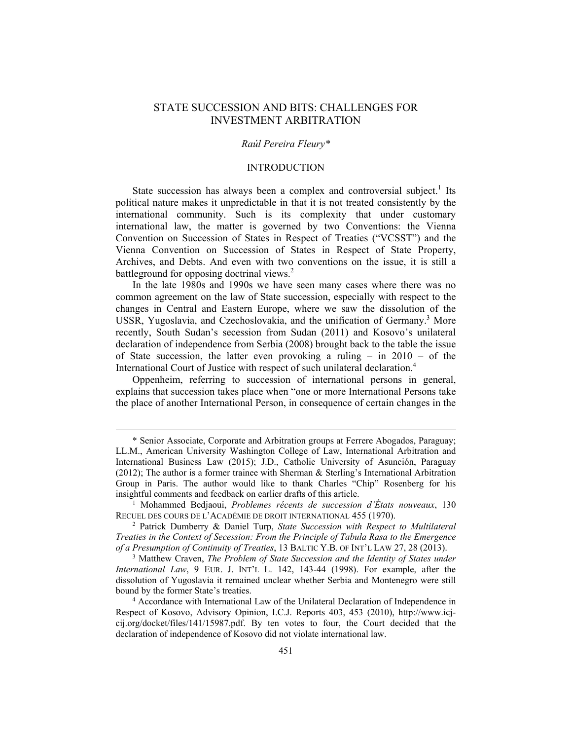# STATE SUCCESSION AND BITS: CHALLENGES FOR INVESTMENT ARBITRATION

## *Raúl Pereira Fleury\**

#### INTRODUCTION

State succession has always been a complex and controversial subject.<sup>1</sup> Its political nature makes it unpredictable in that it is not treated consistently by the international community. Such is its complexity that under customary international law, the matter is governed by two Conventions: the Vienna Convention on Succession of States in Respect of Treaties ("VCSST") and the Vienna Convention on Succession of States in Respect of State Property, Archives, and Debts. And even with two conventions on the issue, it is still a battleground for opposing doctrinal views.<sup>2</sup>

In the late 1980s and 1990s we have seen many cases where there was no common agreement on the law of State succession, especially with respect to the changes in Central and Eastern Europe, where we saw the dissolution of the USSR, Yugoslavia, and Czechoslovakia, and the unification of Germany.<sup>3</sup> More recently, South Sudan's secession from Sudan (2011) and Kosovo's unilateral declaration of independence from Serbia (2008) brought back to the table the issue of State succession, the latter even provoking a ruling – in 2010 – of the International Court of Justice with respect of such unilateral declaration.4

Oppenheim, referring to succession of international persons in general, explains that succession takes place when "one or more International Persons take the place of another International Person, in consequence of certain changes in the

 <sup>\*</sup> Senior Associate, Corporate and Arbitration groups at Ferrere Abogados, Paraguay; LL.M., American University Washington College of Law, International Arbitration and International Business Law (2015); J.D., Catholic University of Asunción, Paraguay (2012); The author is a former trainee with Sherman & Sterling's International Arbitration Group in Paris. The author would like to thank Charles "Chip" Rosenberg for his insightful comments and feedback on earlier drafts of this article. 1

Mohammed Bedjaoui, *Problemes récents de succession d'États nouveaux*, 130 RECUEL DES COURS DE L'ACADÉMIE DE DROIT INTERNATIONAL 455 (1970). 2

Patrick Dumberry & Daniel Turp, *State Succession with Respect to Multilateral Treaties in the Context of Secession: From the Principle of Tabula Rasa to the Emergence of a Presumption of Continuity of Treaties*, 13 BALTIC Y.B. OF INT'L LAW 27, 28 (2013).

Matthew Craven, *The Problem of State Succession and the Identity of States under International Law*, 9 EUR. J. INT'L L. 142, 143-44 (1998). For example, after the dissolution of Yugoslavia it remained unclear whether Serbia and Montenegro were still bound by the former State's treaties. 4

<sup>&</sup>lt;sup>4</sup> Accordance with International Law of the Unilateral Declaration of Independence in Respect of Kosovo, Advisory Opinion, I.C.J. Reports 403, 453 (2010), http://www.icjcij.org/docket/files/141/15987.pdf. By ten votes to four, the Court decided that the declaration of independence of Kosovo did not violate international law.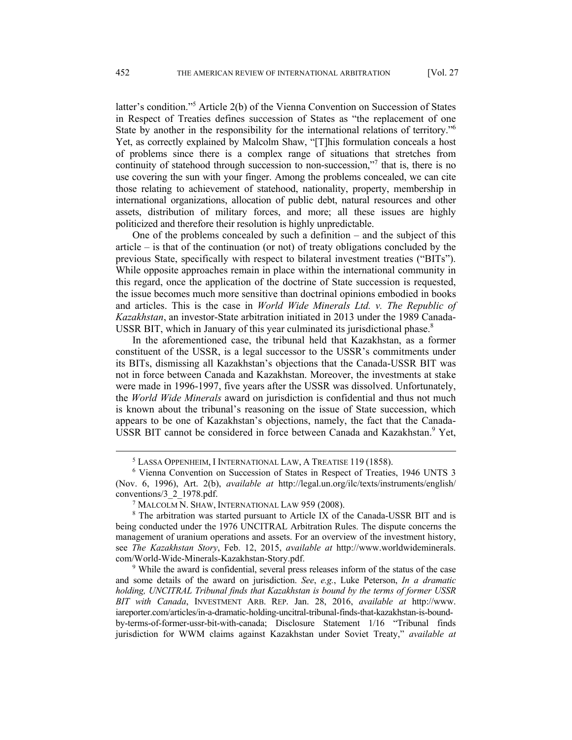latter's condition."<sup>5</sup> Article 2(b) of the Vienna Convention on Succession of States in Respect of Treaties defines succession of States as "the replacement of one State by another in the responsibility for the international relations of territory."6 Yet, as correctly explained by Malcolm Shaw, "[T]his formulation conceals a host of problems since there is a complex range of situations that stretches from continuity of statehood through succession to non-succession,"<sup>7</sup> that is, there is no use covering the sun with your finger. Among the problems concealed, we can cite those relating to achievement of statehood, nationality, property, membership in international organizations, allocation of public debt, natural resources and other assets, distribution of military forces, and more; all these issues are highly politicized and therefore their resolution is highly unpredictable.

One of the problems concealed by such a definition – and the subject of this article – is that of the continuation (or not) of treaty obligations concluded by the previous State, specifically with respect to bilateral investment treaties ("BITs"). While opposite approaches remain in place within the international community in this regard, once the application of the doctrine of State succession is requested, the issue becomes much more sensitive than doctrinal opinions embodied in books and articles. This is the case in *World Wide Minerals Ltd. v. The Republic of Kazakhstan*, an investor-State arbitration initiated in 2013 under the 1989 Canada-USSR BIT, which in January of this year culminated its jurisdictional phase.<sup>8</sup>

In the aforementioned case, the tribunal held that Kazakhstan, as a former constituent of the USSR, is a legal successor to the USSR's commitments under its BITs, dismissing all Kazakhstan's objections that the Canada-USSR BIT was not in force between Canada and Kazakhstan. Moreover, the investments at stake were made in 1996-1997, five years after the USSR was dissolved. Unfortunately, the *World Wide Minerals* award on jurisdiction is confidential and thus not much is known about the tribunal's reasoning on the issue of State succession, which appears to be one of Kazakhstan's objections, namely, the fact that the Canada-USSR BIT cannot be considered in force between Canada and Kazakhstan.<sup>9</sup> Yet,

 $\frac{1}{5}$ <sup>5</sup> LASSA OPPENHEIM, I INTERNATIONAL LAW, A TREATISE 119 (1858).

<sup>&</sup>lt;sup>6</sup> Vienna Convention on Succession of States in Respect of Treaties, 1946 UNTS 3 (Nov. 6, 1996), Art. 2(b), *available at* http://legal.un.org/ilc/texts/instruments/english/ conventions/3 2 1978.pdf.

<sup>&</sup>lt;sup>7</sup> MALCOLM N. SHAW, INTERNATIONAL LAW 959 (2008).

<sup>&</sup>lt;sup>8</sup> The arbitration was started pursuant to Article IX of the Canada-USSR BIT and is being conducted under the 1976 UNCITRAL Arbitration Rules. The dispute concerns the management of uranium operations and assets. For an overview of the investment history, see *The Kazakhstan Story*, Feb. 12, 2015, *available at* http://www.worldwideminerals. com/World-Wide-Minerals-Kazakhstan-Story.pdf. 9

While the award is confidential, several press releases inform of the status of the case and some details of the award on jurisdiction. *See*, *e.g.*, Luke Peterson, *In a dramatic holding, UNCITRAL Tribunal finds that Kazakhstan is bound by the terms of former USSR BIT with Canada*, INVESTMENT ARB. REP. Jan. 28, 2016, *available at* http://www. iareporter.com/articles/in-a-dramatic-holding-uncitral-tribunal-finds-that-kazakhstan-is-boundby-terms-of-former-ussr-bit-with-canada; Disclosure Statement 1/16 "Tribunal finds jurisdiction for WWM claims against Kazakhstan under Soviet Treaty," *available at*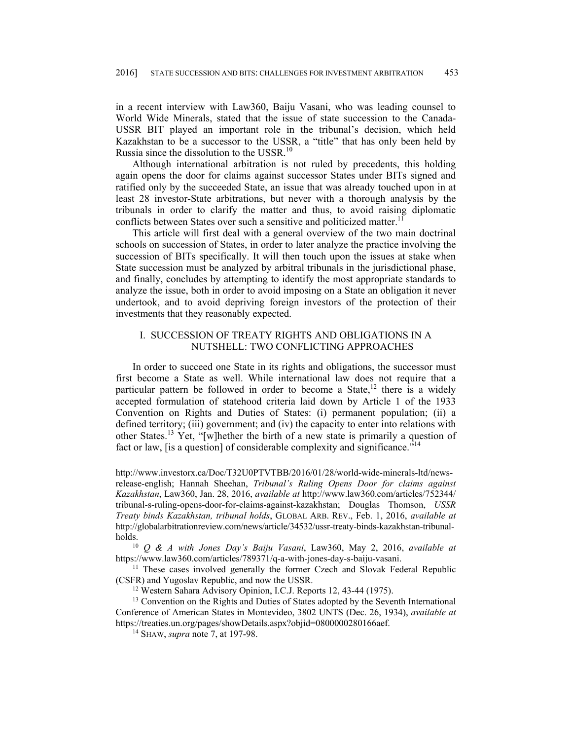in a recent interview with Law360, Baiju Vasani, who was leading counsel to World Wide Minerals, stated that the issue of state succession to the Canada-USSR BIT played an important role in the tribunal's decision, which held Kazakhstan to be a successor to the USSR, a "title" that has only been held by Russia since the dissolution to the USSR.<sup>10</sup>

Although international arbitration is not ruled by precedents, this holding again opens the door for claims against successor States under BITs signed and ratified only by the succeeded State, an issue that was already touched upon in at least 28 investor-State arbitrations, but never with a thorough analysis by the tribunals in order to clarify the matter and thus, to avoid raising diplomatic conflicts between States over such a sensitive and politicized matter.<sup>11</sup>

This article will first deal with a general overview of the two main doctrinal schools on succession of States, in order to later analyze the practice involving the succession of BITs specifically. It will then touch upon the issues at stake when State succession must be analyzed by arbitral tribunals in the jurisdictional phase, and finally, concludes by attempting to identify the most appropriate standards to analyze the issue, both in order to avoid imposing on a State an obligation it never undertook, and to avoid depriving foreign investors of the protection of their investments that they reasonably expected.

## I. SUCCESSION OF TREATY RIGHTS AND OBLIGATIONS IN A NUTSHELL: TWO CONFLICTING APPROACHES

In order to succeed one State in its rights and obligations, the successor must first become a State as well. While international law does not require that a particular pattern be followed in order to become a State,<sup>12</sup> there is a widely accepted formulation of statehood criteria laid down by Article 1 of the 1933 Convention on Rights and Duties of States: (i) permanent population; (ii) a defined territory; (iii) government; and (iv) the capacity to enter into relations with other States.13 Yet, "[w]hether the birth of a new state is primarily a question of fact or law, [is a question] of considerable complexity and significance."<sup>14</sup>

http://www.investorx.ca/Doc/T32U0PTVTBB/2016/01/28/world-wide-minerals-ltd/newsrelease-english; Hannah Sheehan, *Tribunal's Ruling Opens Door for claims against Kazakhstan*, Law360, Jan. 28, 2016, *available at* http://www.law360.com/articles/752344/ tribunal-s-ruling-opens-door-for-claims-against-kazakhstan; Douglas Thomson, *USSR Treaty binds Kazakhstan, tribunal holds*, GLOBAL ARB. REV., Feb. 1, 2016, *available at* http://globalarbitrationreview.com/news/article/34532/ussr-treaty-binds-kazakhstan-tribunalholds. 10 *Q & A with Jones Day's Baiju Vasani*, Law360, May 2, 2016, *available at*

https://www.law360.com/articles/789371/q-a-with-jones-day-s-baiju-vasani.<br><sup>11</sup> These cases involved generally the former Czech and Slovak Federal Republic (CSFR) and Yugoslav Republic, and now the USSR. 12 Western Sahara Advisory Opinion, I.C.J. Reports 12, 43-44 (1975).

<sup>13</sup> Convention on the Rights and Duties of States adopted by the Seventh International Conference of American States in Montevideo, 3802 UNTS (Dec. 26, 1934), *available at*  https://treaties.un.org/pages/showDetails.aspx?objid=0800000280166aef. 14 SHAW, *supra* note 7, at 197-98.

 $\overline{a}$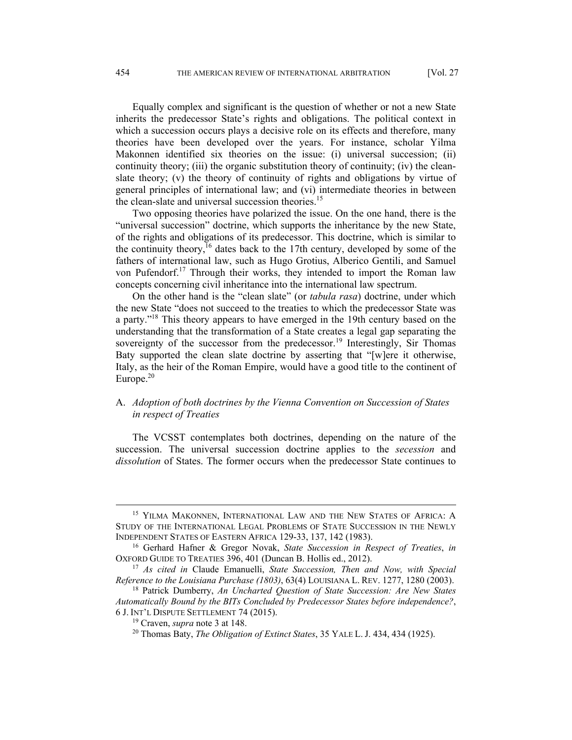Equally complex and significant is the question of whether or not a new State inherits the predecessor State's rights and obligations. The political context in which a succession occurs plays a decisive role on its effects and therefore, many theories have been developed over the years. For instance, scholar Yilma Makonnen identified six theories on the issue: (i) universal succession; (ii) continuity theory; (iii) the organic substitution theory of continuity; (iv) the cleanslate theory; (v) the theory of continuity of rights and obligations by virtue of general principles of international law; and (vi) intermediate theories in between the clean-slate and universal succession theories.<sup>15</sup>

Two opposing theories have polarized the issue. On the one hand, there is the "universal succession" doctrine, which supports the inheritance by the new State, of the rights and obligations of its predecessor. This doctrine, which is similar to the continuity theory,<sup>16</sup> dates back to the 17th century, developed by some of the fathers of international law, such as Hugo Grotius, Alberico Gentili, and Samuel von Pufendorf.17 Through their works, they intended to import the Roman law concepts concerning civil inheritance into the international law spectrum.

On the other hand is the "clean slate" (or *tabula rasa*) doctrine, under which the new State "does not succeed to the treaties to which the predecessor State was a party."18 This theory appears to have emerged in the 19th century based on the understanding that the transformation of a State creates a legal gap separating the sovereignty of the successor from the predecessor.<sup>19</sup> Interestingly, Sir Thomas Baty supported the clean slate doctrine by asserting that "[w]ere it otherwise, Italy, as the heir of the Roman Empire, would have a good title to the continent of Europe. $20$ 

## A. *Adoption of both doctrines by the Vienna Convention on Succession of States in respect of Treaties*

The VCSST contemplates both doctrines, depending on the nature of the succession. The universal succession doctrine applies to the *secession* and *dissolution* of States. The former occurs when the predecessor State continues to

<sup>&</sup>lt;sup>15</sup> YILMA MAKONNEN, INTERNATIONAL LAW AND THE NEW STATES OF AFRICA: A STUDY OF THE INTERNATIONAL LEGAL PROBLEMS OF STATE SUCCESSION IN THE NEWLY INDEPENDENT STATES OF EASTERN AFRICA 129-33, 137, 142 (1983).<br><sup>16</sup> Gerhard Hafner & Gregor Novak, *State Succession in Respect of Treaties*, *in* 

OXFORD GUIDE TO TREATIES 396, 401 (Duncan B. Hollis ed., 2012). 17 *As cited in* Claude Emanuelli, *State Succession, Then and Now, with Special* 

*Reference to the Louisiana Purchase (1803)*, 63(4) LOUISIANA L. REV. 1277, 1280 (2003). 18 Patrick Dumberry, *An Uncharted Question of State Succession: Are New States* 

*Automatically Bound by the BITs Concluded by Predecessor States before independence?*, 6 J. INT'L DISPUTE SETTLEMENT 74 (2015). 19 Craven, *supra* note 3 at 148. 20 Thomas Baty, *The Obligation of Extinct States*, 35 YALE L. J. 434, 434 (1925).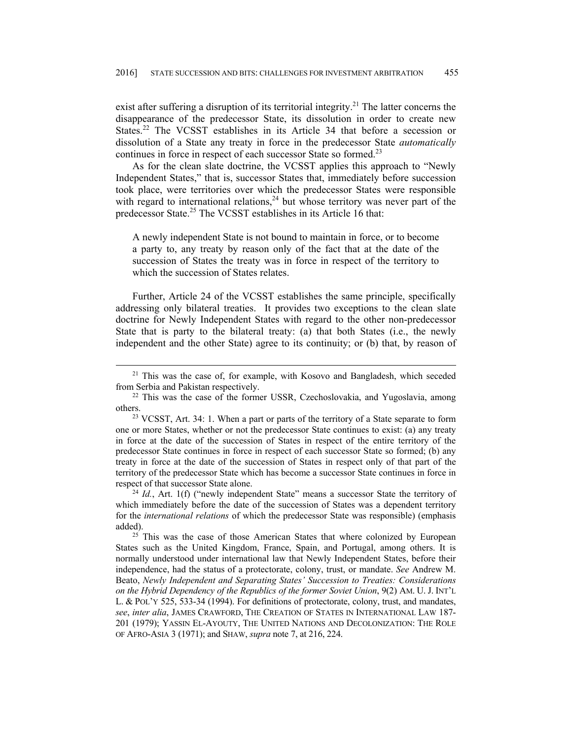exist after suffering a disruption of its territorial integrity.<sup>21</sup> The latter concerns the disappearance of the predecessor State, its dissolution in order to create new States.<sup>22</sup> The VCSST establishes in its Article 34 that before a secession or dissolution of a State any treaty in force in the predecessor State *automatically* continues in force in respect of each successor State so formed.<sup>23</sup>

As for the clean slate doctrine, the VCSST applies this approach to "Newly Independent States," that is, successor States that, immediately before succession took place, were territories over which the predecessor States were responsible with regard to international relations,<sup>24</sup> but whose territory was never part of the predecessor State.<sup>25</sup> The VCSST establishes in its Article 16 that:

A newly independent State is not bound to maintain in force, or to become a party to, any treaty by reason only of the fact that at the date of the succession of States the treaty was in force in respect of the territory to which the succession of States relates.

Further, Article 24 of the VCSST establishes the same principle, specifically addressing only bilateral treaties. It provides two exceptions to the clean slate doctrine for Newly Independent States with regard to the other non-predecessor State that is party to the bilateral treaty: (a) that both States (i.e., the newly independent and the other State) agree to its continuity; or (b) that, by reason of

which immediately before the date of the succession of States was a dependent territory for the *international relations* of which the predecessor State was responsible) (emphasis added).<br><sup>25</sup> This was the case of those American States that where colonized by European

States such as the United Kingdom, France, Spain, and Portugal, among others. It is normally understood under international law that Newly Independent States, before their independence, had the status of a protectorate, colony, trust, or mandate. *See* Andrew M. Beato, *Newly Independent and Separating States' Succession to Treaties: Considerations on the Hybrid Dependency of the Republics of the former Soviet Union*, 9(2) AM. U. J. INT'L L. & POL'Y 525, 533-34 (1994). For definitions of protectorate, colony, trust, and mandates, *see*, *inter alia*, JAMES CRAWFORD, THE CREATION OF STATES IN INTERNATIONAL LAW 187- 201 (1979); YASSIN EL-AYOUTY, THE UNITED NATIONS AND DECOLONIZATION: THE ROLE OF AFRO-ASIA 3 (1971); and SHAW, *supra* note 7, at 216, 224.

<sup>&</sup>lt;sup>21</sup> This was the case of, for example, with Kosovo and Bangladesh, which seceded from Serbia and Pakistan respectively. 22 This was the case of the former USSR, Czechoslovakia, and Yugoslavia, among

others.<br><sup>23</sup> VCSST, Art. 34: 1. When a part or parts of the territory of a State separate to form

one or more States, whether or not the predecessor State continues to exist: (a) any treaty in force at the date of the succession of States in respect of the entire territory of the predecessor State continues in force in respect of each successor State so formed; (b) any treaty in force at the date of the succession of States in respect only of that part of the territory of the predecessor State which has become a successor State continues in force in respect of that successor State alone.<br><sup>24</sup> *Id.*, Art. 1(f) ("newly independent State" means a successor State the territory of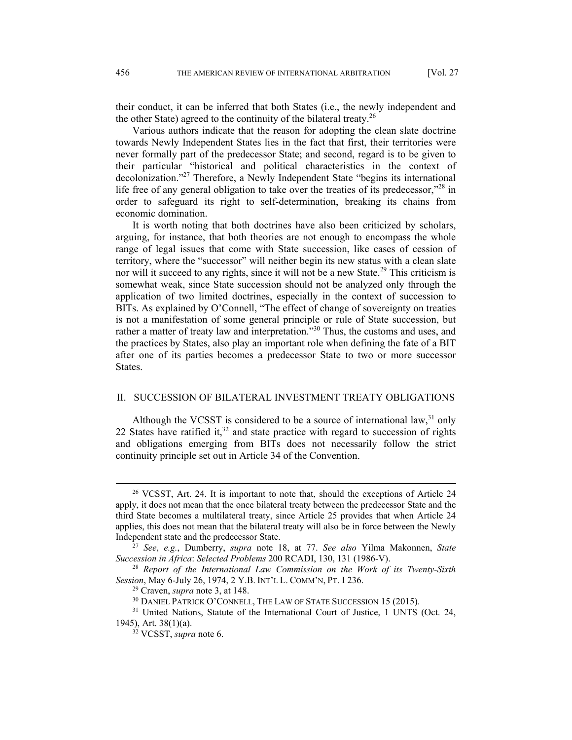their conduct, it can be inferred that both States (i.e., the newly independent and the other State) agreed to the continuity of the bilateral treaty.<sup>26</sup>

Various authors indicate that the reason for adopting the clean slate doctrine towards Newly Independent States lies in the fact that first, their territories were never formally part of the predecessor State; and second, regard is to be given to their particular "historical and political characteristics in the context of decolonization."27 Therefore, a Newly Independent State "begins its international life free of any general obligation to take over the treaties of its predecessor,"<sup>28</sup> in order to safeguard its right to self-determination, breaking its chains from economic domination.

It is worth noting that both doctrines have also been criticized by scholars, arguing, for instance, that both theories are not enough to encompass the whole range of legal issues that come with State succession, like cases of cession of territory, where the "successor" will neither begin its new status with a clean slate nor will it succeed to any rights, since it will not be a new State.<sup>29</sup> This criticism is somewhat weak, since State succession should not be analyzed only through the application of two limited doctrines, especially in the context of succession to BITs. As explained by O'Connell, "The effect of change of sovereignty on treaties is not a manifestation of some general principle or rule of State succession, but rather a matter of treaty law and interpretation.<sup>330</sup> Thus, the customs and uses, and the practices by States, also play an important role when defining the fate of a BIT after one of its parties becomes a predecessor State to two or more successor States.

## II. SUCCESSION OF BILATERAL INVESTMENT TREATY OBLIGATIONS

Although the VCSST is considered to be a source of international law,<sup>31</sup> only 22 States have ratified it, $32$  and state practice with regard to succession of rights and obligations emerging from BITs does not necessarily follow the strict continuity principle set out in Article 34 of the Convention.

 <sup>26</sup> VCSST, Art. 24. It is important to note that, should the exceptions of Article 24 apply, it does not mean that the once bilateral treaty between the predecessor State and the third State becomes a multilateral treaty, since Article 25 provides that when Article 24 applies, this does not mean that the bilateral treaty will also be in force between the Newly Independent state and the predecessor State. 27 *See*, *e.g.*, Dumberry, *supra* note 18, at 77. *See also* Yilma Makonnen, *State* 

*Succession in Africa*: *Selected Problems* 200 RCADI, 130, 131 (1986-V). 28 *Report of the International Law Commission on the Work of its Twenty-Sixth* 

Session, May 6-July 26, 1974, 2 Y.B. INT'L L. COMM'N, PT. I 236.<br><sup>29</sup> Craven, *supra* note 3, at 148.<br><sup>30</sup> DANIEL PATRICK O'CONNELL, THE LAW OF STATE SUCCESSION 15 (2015).<br><sup>31</sup> United Nations, Statute of the International

<sup>1945),</sup> Art. 38(1)(a). 32 VCSST, *supra* note 6.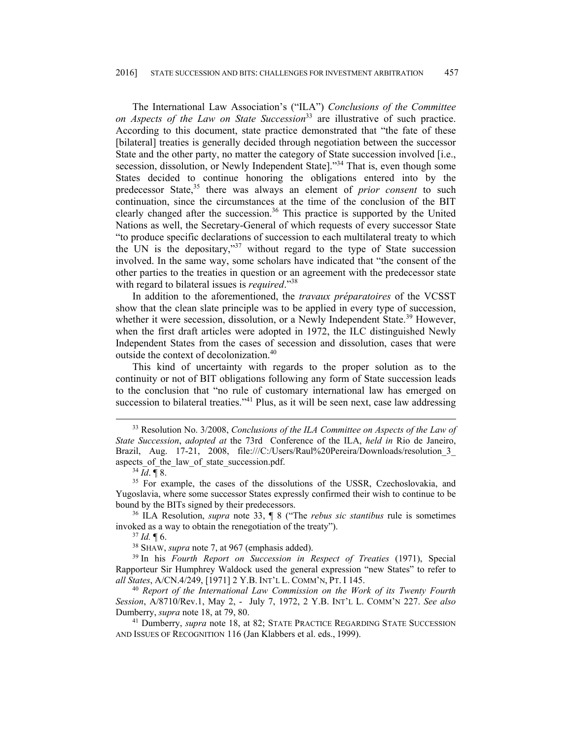The International Law Association's ("ILA") *Conclusions of the Committee on Aspects of the Law on State Succession*33 are illustrative of such practice. According to this document, state practice demonstrated that "the fate of these [bilateral] treaties is generally decided through negotiation between the successor State and the other party, no matter the category of State succession involved [i.e., secession, dissolution, or Newly Independent State].<sup>34</sup> That is, even though some States decided to continue honoring the obligations entered into by the predecessor State,<sup>35</sup> there was always an element of *prior consent* to such continuation, since the circumstances at the time of the conclusion of the BIT clearly changed after the succession.<sup>36</sup> This practice is supported by the United Nations as well, the Secretary-General of which requests of every successor State "to produce specific declarations of succession to each multilateral treaty to which the UN is the depositary,"<sup>37</sup> without regard to the type of State succession involved. In the same way, some scholars have indicated that "the consent of the other parties to the treaties in question or an agreement with the predecessor state with regard to bilateral issues is *required*."38

In addition to the aforementioned, the *travaux préparatoires* of the VCSST show that the clean slate principle was to be applied in every type of succession, whether it were secession, dissolution, or a Newly Independent State.<sup>39</sup> However, when the first draft articles were adopted in 1972, the ILC distinguished Newly Independent States from the cases of secession and dissolution, cases that were outside the context of decolonization.<sup>40</sup>

This kind of uncertainty with regards to the proper solution as to the continuity or not of BIT obligations following any form of State succession leads to the conclusion that "no rule of customary international law has emerged on succession to bilateral treaties."<sup>41</sup> Plus, as it will be seen next, case law addressing

invoked as a way to obtain the renegotiation of the treaty").<br><sup>37</sup> *Id.* ¶ 6.<br><sup>38</sup> SHAW, *supra* note 7, at 967 (emphasis added).<br><sup>39</sup> In his *Fourth Report on Succession in Respect of Treaties* (1971), Special

Rapporteur Sir Humphrey Waldock used the general expression "new States" to refer to *all States*, A/CN.4/249, [1971] 2 Y.B. INT'L L. COMM'N, PT. I 145. 40 *Report of the International Law Commission on the Work of its Twenty Fourth* 

*Session*, A/8710/Rev.1, May 2, - July 7, 1972, 2 Y.B. INT'L L. COMM'N 227. *See also* Dumberry, *supra* note 18, at 79, 80. 41 Dumberry, *supra* note 18, at 82; STATE PRACTICE REGARDING STATE SUCCESSION

AND ISSUES OF RECOGNITION 116 (Jan Klabbers et al. eds., 1999).

 <sup>33</sup> Resolution No. 3/2008, *Conclusions of the ILA Committee on Aspects of the Law of State Succession*, *adopted at* the 73rd Conference of the ILA, *held in* Rio de Janeiro, Brazil, Aug. 17-21, 2008, file:///C:/Users/Raul%20Pereira/Downloads/resolution\_3\_ aspects\_of\_the\_law\_of\_state\_succession.pdf.<br><sup>34</sup> *Id*. ¶ 8. <sup>35</sup> For example, the cases of the dissolutions of the USSR, Czechoslovakia, and

Yugoslavia, where some successor States expressly confirmed their wish to continue to be bound by the BITs signed by their predecessors. 36 ILA Resolution, *supra* note 33, ¶ 8 ("The *rebus sic stantibus* rule is sometimes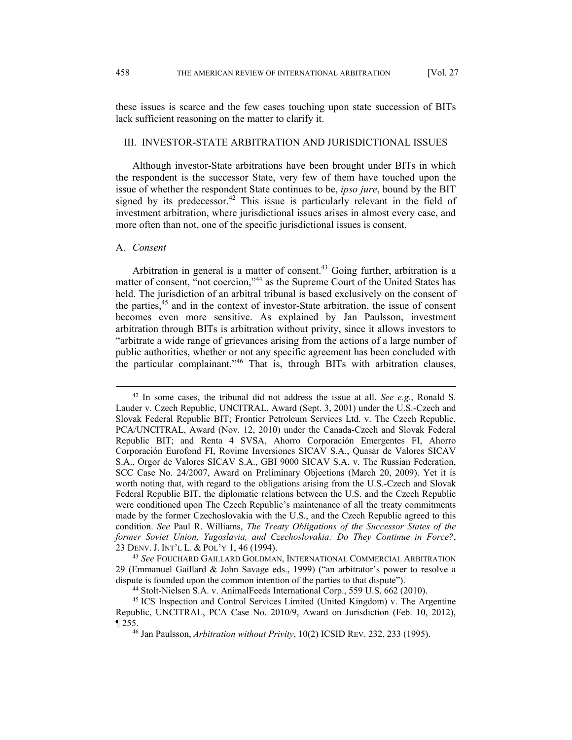these issues is scarce and the few cases touching upon state succession of BITs lack sufficient reasoning on the matter to clarify it.

## III. INVESTOR-STATE ARBITRATION AND JURISDICTIONAL ISSUES

Although investor-State arbitrations have been brought under BITs in which the respondent is the successor State, very few of them have touched upon the issue of whether the respondent State continues to be, *ipso jure*, bound by the BIT signed by its predecessor.<sup>42</sup> This issue is particularly relevant in the field of investment arbitration, where jurisdictional issues arises in almost every case, and more often than not, one of the specific jurisdictional issues is consent.

#### A. *Consent*

Arbitration in general is a matter of consent.<sup>43</sup> Going further, arbitration is a matter of consent, "not coercion,"<sup>44</sup> as the Supreme Court of the United States has held. The jurisdiction of an arbitral tribunal is based exclusively on the consent of the parties,45 and in the context of investor-State arbitration, the issue of consent becomes even more sensitive. As explained by Jan Paulsson, investment arbitration through BITs is arbitration without privity, since it allows investors to "arbitrate a wide range of grievances arising from the actions of a large number of public authorities, whether or not any specific agreement has been concluded with the particular complainant."46 That is, through BITs with arbitration clauses,

 <sup>42</sup> In some cases, the tribunal did not address the issue at all. *See e.g*., Ronald S. Lauder v. Czech Republic, UNCITRAL, Award (Sept. 3, 2001) under the U.S.-Czech and Slovak Federal Republic BIT; Frontier Petroleum Services Ltd. v. The Czech Republic, PCA/UNCITRAL, Award (Nov. 12, 2010) under the Canada-Czech and Slovak Federal Republic BIT; and Renta 4 SVSA, Ahorro Corporación Emergentes FI, Ahorro Corporación Eurofond FI, Rovime Inversiones SICAV S.A., Quasar de Valores SICAV S.A., Orgor de Valores SICAV S.A., GBI 9000 SICAV S.A. v. The Russian Federation, SCC Case No. 24/2007, Award on Preliminary Objections (March 20, 2009). Yet it is worth noting that, with regard to the obligations arising from the U.S.-Czech and Slovak Federal Republic BIT, the diplomatic relations between the U.S. and the Czech Republic were conditioned upon The Czech Republic's maintenance of all the treaty commitments made by the former Czechoslovakia with the U.S., and the Czech Republic agreed to this condition. *See* Paul R. Williams, *The Treaty Obligations of the Successor States of the former Soviet Union, Yugoslavia, and Czechoslovakia: Do They Continue in Force?*, 23 DENV. J. INT'L L. & POL'Y 1, 46 (1994). 43 *See* FOUCHARD GAILLARD GOLDMAN, INTERNATIONAL COMMERCIAL ARBITRATION

<sup>29 (</sup>Emmanuel Gaillard & John Savage eds., 1999) ("an arbitrator's power to resolve a dispute is founded upon the common intention of the parties to that dispute"). 44 Stolt-Nielsen S.A. v. AnimalFeeds International Corp., 559 U.S. 662 (2010).

<sup>45</sup> ICS Inspection and Control Services Limited (United Kingdom) v. The Argentine Republic, UNCITRAL, PCA Case No. 2010/9, Award on Jurisdiction (Feb. 10, 2012), ¶ 255. 46 Jan Paulsson, *Arbitration without Privity*, 10(2) ICSID REV. 232, 233 (1995).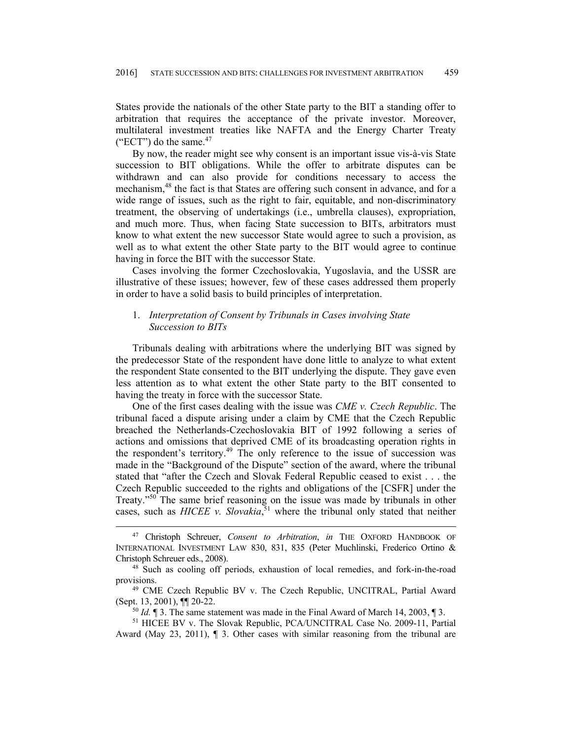States provide the nationals of the other State party to the BIT a standing offer to arbitration that requires the acceptance of the private investor. Moreover, multilateral investment treaties like NAFTA and the Energy Charter Treaty ("ECT") do the same. $47$ 

By now, the reader might see why consent is an important issue vis-à-vis State succession to BIT obligations. While the offer to arbitrate disputes can be withdrawn and can also provide for conditions necessary to access the mechanism,<sup>48</sup> the fact is that States are offering such consent in advance, and for a wide range of issues, such as the right to fair, equitable, and non-discriminatory treatment, the observing of undertakings (i.e., umbrella clauses), expropriation, and much more. Thus, when facing State succession to BITs, arbitrators must know to what extent the new successor State would agree to such a provision, as well as to what extent the other State party to the BIT would agree to continue having in force the BIT with the successor State.

Cases involving the former Czechoslovakia, Yugoslavia, and the USSR are illustrative of these issues; however, few of these cases addressed them properly in order to have a solid basis to build principles of interpretation.

## 1. *Interpretation of Consent by Tribunals in Cases involving State Succession to BITs*

Tribunals dealing with arbitrations where the underlying BIT was signed by the predecessor State of the respondent have done little to analyze to what extent the respondent State consented to the BIT underlying the dispute. They gave even less attention as to what extent the other State party to the BIT consented to having the treaty in force with the successor State.

One of the first cases dealing with the issue was *CME v. Czech Republic*. The tribunal faced a dispute arising under a claim by CME that the Czech Republic breached the Netherlands-Czechoslovakia BIT of 1992 following a series of actions and omissions that deprived CME of its broadcasting operation rights in the respondent's territory.<sup>49</sup> The only reference to the issue of succession was made in the "Background of the Dispute" section of the award, where the tribunal stated that "after the Czech and Slovak Federal Republic ceased to exist . . . the Czech Republic succeeded to the rights and obligations of the [CSFR] under the Treaty."<sup>50</sup> The same brief reasoning on the issue was made by tribunals in other cases, such as *HICEE v. Slovakia*, 51 where the tribunal only stated that neither

 <sup>47</sup> Christoph Schreuer, *Consent to Arbitration*, *in* THE OXFORD HANDBOOK OF INTERNATIONAL INVESTMENT LAW 830, 831, 835 (Peter Muchlinski, Frederico Ortino & Christoph Schreuer eds., 2008). 48 Such as cooling off periods, exhaustion of local remedies, and fork-in-the-road

provisions. 49 CME Czech Republic BV v. The Czech Republic, UNCITRAL, Partial Award

<sup>(</sup>Sept. 13, 2001),  $\P$  20-22.<br><sup>50</sup> *Id.*  $\P$  3. The same statement was made in the Final Award of March 14, 2003,  $\P$  3.<br><sup>51</sup> HICEE BV v. The Slovak Republic, PCA/UNCITRAL Case No. 2009-11, Partial

Award (May 23, 2011), ¶ 3. Other cases with similar reasoning from the tribunal are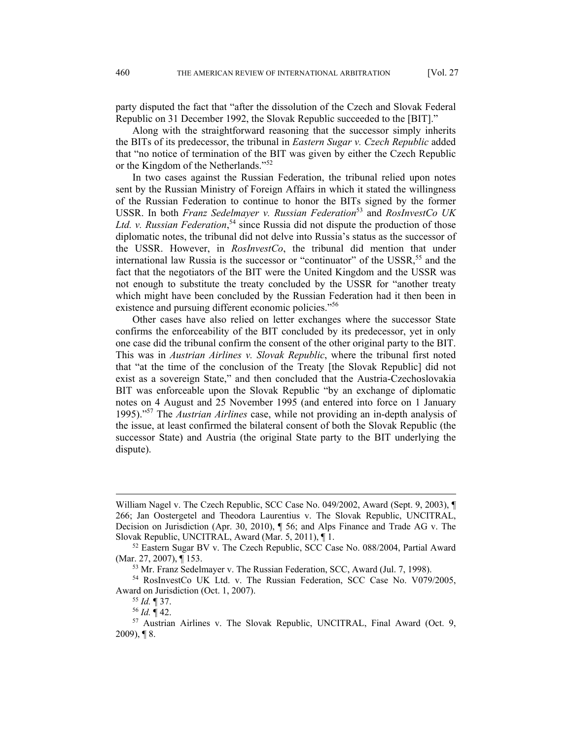party disputed the fact that "after the dissolution of the Czech and Slovak Federal Republic on 31 December 1992, the Slovak Republic succeeded to the [BIT]."

Along with the straightforward reasoning that the successor simply inherits the BITs of its predecessor, the tribunal in *Eastern Sugar v. Czech Republic* added that "no notice of termination of the BIT was given by either the Czech Republic or the Kingdom of the Netherlands."<sup>52</sup>

In two cases against the Russian Federation, the tribunal relied upon notes sent by the Russian Ministry of Foreign Affairs in which it stated the willingness of the Russian Federation to continue to honor the BITs signed by the former USSR. In both *Franz Sedelmayer v. Russian Federation*53 and *RosInvestCo UK*  Ltd. v. Russian Federation,<sup>54</sup> since Russia did not dispute the production of those diplomatic notes, the tribunal did not delve into Russia's status as the successor of the USSR. However, in *RosInvestCo*, the tribunal did mention that under international law Russia is the successor or "continuator" of the USSR,  $55$  and the fact that the negotiators of the BIT were the United Kingdom and the USSR was not enough to substitute the treaty concluded by the USSR for "another treaty which might have been concluded by the Russian Federation had it then been in existence and pursuing different economic policies."<sup>56</sup>

Other cases have also relied on letter exchanges where the successor State confirms the enforceability of the BIT concluded by its predecessor, yet in only one case did the tribunal confirm the consent of the other original party to the BIT. This was in *Austrian Airlines v. Slovak Republic*, where the tribunal first noted that "at the time of the conclusion of the Treaty [the Slovak Republic] did not exist as a sovereign State," and then concluded that the Austria-Czechoslovakia BIT was enforceable upon the Slovak Republic "by an exchange of diplomatic notes on 4 August and 25 November 1995 (and entered into force on 1 January 1995)."57 The *Austrian Airlines* case, while not providing an in-depth analysis of the issue, at least confirmed the bilateral consent of both the Slovak Republic (the successor State) and Austria (the original State party to the BIT underlying the dispute).

 $\overline{a}$ 

William Nagel v. The Czech Republic, SCC Case No. 049/2002, Award (Sept. 9, 2003), ¶ 266; Jan Oostergetel and Theodora Laurentius v. The Slovak Republic, UNCITRAL, Decision on Jurisdiction (Apr. 30, 2010), ¶ 56; and Alps Finance and Trade AG v. The

Slovak Republic, UNCITRAL, Award (Mar. 5, 2011), ¶ 1.<br><sup>52</sup> Eastern Sugar BV v. The Czech Republic, SCC Case No. 088/2004, Partial Award (Mar. 27, 2007), ¶ 153.<br><sup>53</sup> Mr. Franz Sedelmayer v. The Russian Federation, SCC, Award (Jul. 7, 1998).

<sup>54</sup> RosInvestCo UK Ltd. v. The Russian Federation, SCC Case No. V079/2005, Award on Jurisdiction (Oct. 1, 2007).<br><sup>55</sup> *Id.* ¶ 37.<br><sup>56</sup> *Id.* ¶ 42.<br><sup>57</sup> Austrian Airlines v. The Slovak Republic, UNCITRAL, Final Award (Oct. 9,

 $2009$ , 18.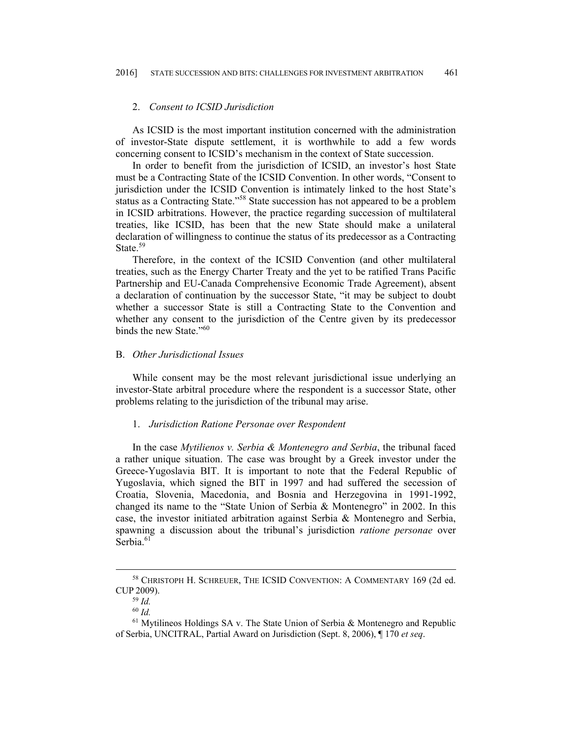### 2. *Consent to ICSID Jurisdiction*

As ICSID is the most important institution concerned with the administration of investor-State dispute settlement, it is worthwhile to add a few words concerning consent to ICSID's mechanism in the context of State succession.

In order to benefit from the jurisdiction of ICSID, an investor's host State must be a Contracting State of the ICSID Convention. In other words, "Consent to jurisdiction under the ICSID Convention is intimately linked to the host State's status as a Contracting State."58 State succession has not appeared to be a problem in ICSID arbitrations. However, the practice regarding succession of multilateral treaties, like ICSID, has been that the new State should make a unilateral declaration of willingness to continue the status of its predecessor as a Contracting State.<sup>59</sup>

Therefore, in the context of the ICSID Convention (and other multilateral treaties, such as the Energy Charter Treaty and the yet to be ratified Trans Pacific Partnership and EU-Canada Comprehensive Economic Trade Agreement), absent a declaration of continuation by the successor State, "it may be subject to doubt whether a successor State is still a Contracting State to the Convention and whether any consent to the jurisdiction of the Centre given by its predecessor binds the new State."<sup>60</sup>

### B. *Other Jurisdictional Issues*

While consent may be the most relevant jurisdictional issue underlying an investor-State arbitral procedure where the respondent is a successor State, other problems relating to the jurisdiction of the tribunal may arise.

#### 1. *Jurisdiction Ratione Personae over Respondent*

In the case *Mytilienos v. Serbia & Montenegro and Serbia*, the tribunal faced a rather unique situation. The case was brought by a Greek investor under the Greece-Yugoslavia BIT. It is important to note that the Federal Republic of Yugoslavia, which signed the BIT in 1997 and had suffered the secession of Croatia, Slovenia, Macedonia, and Bosnia and Herzegovina in 1991-1992, changed its name to the "State Union of Serbia & Montenegro" in 2002. In this case, the investor initiated arbitration against Serbia & Montenegro and Serbia, spawning a discussion about the tribunal's jurisdiction *ratione personae* over Serbia.<sup>61</sup>

 <sup>58</sup> CHRISTOPH H. SCHREUER, THE ICSID CONVENTION: <sup>A</sup> COMMENTARY 169 (2d ed. CUP 2009).

<sup>59</sup> *Id.*

<sup>60</sup> *Id.*

 $61$  Mytilineos Holdings SA v. The State Union of Serbia & Montenegro and Republic of Serbia, UNCITRAL, Partial Award on Jurisdiction (Sept. 8, 2006), ¶ 170 *et seq*.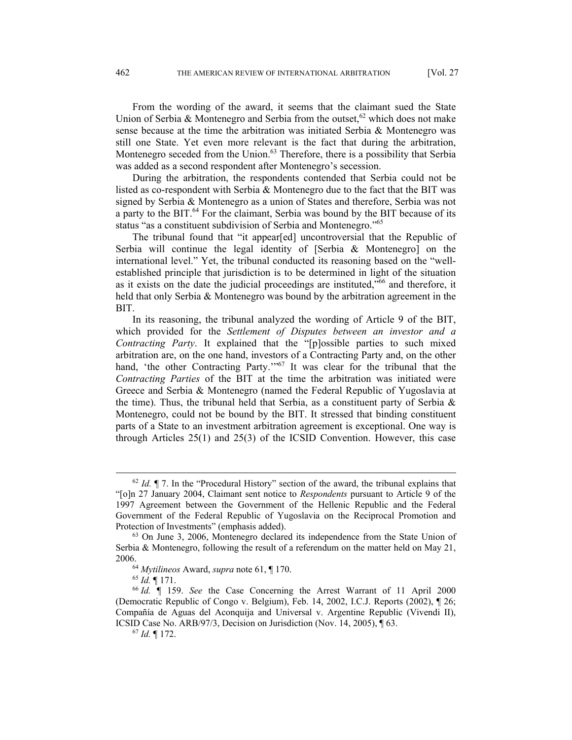From the wording of the award, it seems that the claimant sued the State Union of Serbia & Montenegro and Serbia from the outset,  $62$  which does not make sense because at the time the arbitration was initiated Serbia & Montenegro was still one State. Yet even more relevant is the fact that during the arbitration, Montenegro seceded from the Union.<sup>63</sup> Therefore, there is a possibility that Serbia was added as a second respondent after Montenegro's secession.

During the arbitration, the respondents contended that Serbia could not be listed as co-respondent with Serbia & Montenegro due to the fact that the BIT was signed by Serbia & Montenegro as a union of States and therefore, Serbia was not a party to the BIT.<sup>64</sup> For the claimant, Serbia was bound by the BIT because of its status "as a constituent subdivision of Serbia and Montenegro."<sup>65</sup>

The tribunal found that "it appear[ed] uncontroversial that the Republic of Serbia will continue the legal identity of [Serbia & Montenegro] on the international level." Yet, the tribunal conducted its reasoning based on the "wellestablished principle that jurisdiction is to be determined in light of the situation as it exists on the date the judicial proceedings are instituted,"66 and therefore, it held that only Serbia & Montenegro was bound by the arbitration agreement in the BIT.

In its reasoning, the tribunal analyzed the wording of Article 9 of the BIT, which provided for the *Settlement of Disputes between an investor and a Contracting Party*. It explained that the "[p]ossible parties to such mixed arbitration are, on the one hand, investors of a Contracting Party and, on the other hand, 'the other Contracting Party.'"<sup>67</sup> It was clear for the tribunal that the *Contracting Parties* of the BIT at the time the arbitration was initiated were Greece and Serbia & Montenegro (named the Federal Republic of Yugoslavia at the time). Thus, the tribunal held that Serbia, as a constituent party of Serbia & Montenegro, could not be bound by the BIT. It stressed that binding constituent parts of a State to an investment arbitration agreement is exceptional. One way is through Articles 25(1) and 25(3) of the ICSID Convention. However, this case

 <sup>62</sup> *Id.* ¶ 7. In the "Procedural History" section of the award, the tribunal explains that "[o]n 27 January 2004, Claimant sent notice to *Respondents* pursuant to Article 9 of the 1997 Agreement between the Government of the Hellenic Republic and the Federal Government of the Federal Republic of Yugoslavia on the Reciprocal Promotion and

Protection of Investments" (emphasis added).<br><sup>63</sup> On June 3, 2006, Montenegro declared its independence from the State Union of Serbia & Montenegro, following the result of a referendum on the matter held on May 21, 2006.<br><sup>64</sup> *Mytilineos* Award, *supra* note 61, ¶ 170.<br><sup>65</sup> *Id.* ¶ 171. <sup>66</sup> *Id.* ¶ 159. *See* the Case Concerning the Arrest Warrant of 11 April 2000

<sup>(</sup>Democratic Republic of Congo v. Belgium), Feb. 14, 2002, I.C.J. Reports (2002), ¶ 26; Compañía de Aguas del Aconquija and Universal v. Argentine Republic (Vivendi II), ICSID Case No. ARB/97/3, Decision on Jurisdiction (Nov. 14, 2005), ¶ 63. 67 *Id.* ¶ 172.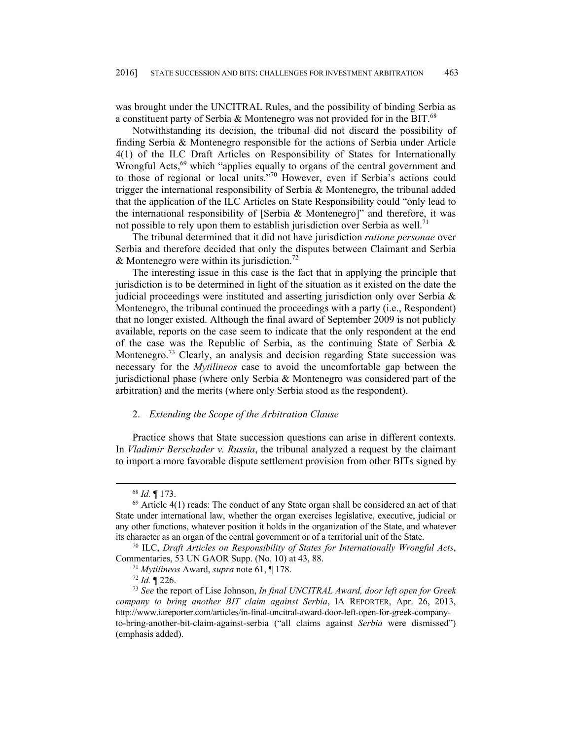was brought under the UNCITRAL Rules, and the possibility of binding Serbia as a constituent party of Serbia & Montenegro was not provided for in the BIT.<sup>68</sup>

Notwithstanding its decision, the tribunal did not discard the possibility of finding Serbia & Montenegro responsible for the actions of Serbia under Article 4(1) of the ILC Draft Articles on Responsibility of States for Internationally Wrongful Acts,<sup>69</sup> which "applies equally to organs of the central government and to those of regional or local units."70 However, even if Serbia's actions could trigger the international responsibility of Serbia & Montenegro, the tribunal added that the application of the ILC Articles on State Responsibility could "only lead to the international responsibility of [Serbia  $\&$  Montenegro]" and therefore, it was not possible to rely upon them to establish jurisdiction over Serbia as well.<sup>71</sup>

The tribunal determined that it did not have jurisdiction *ratione personae* over Serbia and therefore decided that only the disputes between Claimant and Serbia & Montenegro were within its jurisdiction.<sup>72</sup>

The interesting issue in this case is the fact that in applying the principle that jurisdiction is to be determined in light of the situation as it existed on the date the judicial proceedings were instituted and asserting jurisdiction only over Serbia  $\&$ Montenegro, the tribunal continued the proceedings with a party (i.e., Respondent) that no longer existed. Although the final award of September 2009 is not publicly available, reports on the case seem to indicate that the only respondent at the end of the case was the Republic of Serbia, as the continuing State of Serbia & Montenegro.<sup>73</sup> Clearly, an analysis and decision regarding State succession was necessary for the *Mytilineos* case to avoid the uncomfortable gap between the jurisdictional phase (where only Serbia & Montenegro was considered part of the arbitration) and the merits (where only Serbia stood as the respondent).

#### 2. *Extending the Scope of the Arbitration Clause*

Practice shows that State succession questions can arise in different contexts. In *Vladimir Berschader v. Russia*, the tribunal analyzed a request by the claimant to import a more favorable dispute settlement provision from other BITs signed by

<sup>&</sup>lt;sup>68</sup> *Id.*  $\parallel$  173.<br><sup>69</sup> Article 4(1) reads: The conduct of any State organ shall be considered an act of that State under international law, whether the organ exercises legislative, executive, judicial or any other functions, whatever position it holds in the organization of the State, and whatever its character as an organ of the central government or of a territorial unit of the State. 70 ILC, *Draft Articles on Responsibility of States for Internationally Wrongful Acts*,

Commentaries, 53 UN GAOR Supp. (No. 10) at 43, 88.

<sup>71</sup> *Mytilineos* Award, *supra* note 61, ¶ 178. 72 *Id.* ¶ 226. 73 *See* the report of Lise Johnson, *In final UNCITRAL Award, door left open for Greek company to bring another BIT claim against Serbia*, IA REPORTER, Apr. 26, 2013, http://www.iareporter.com/articles/in-final-uncitral-award-door-left-open-for-greek-companyto-bring-another-bit-claim-against-serbia ("all claims against *Serbia* were dismissed") (emphasis added).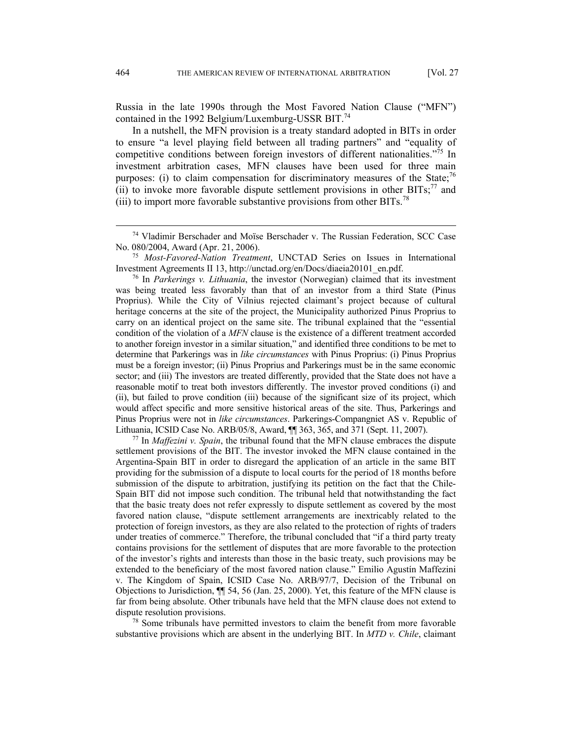Russia in the late 1990s through the Most Favored Nation Clause ("MFN") contained in the 1992 Belgium/Luxemburg-USSR BIT.<sup>74</sup>

In a nutshell, the MFN provision is a treaty standard adopted in BITs in order to ensure "a level playing field between all trading partners" and "equality of competitive conditions between foreign investors of different nationalities."<sup>75</sup> In investment arbitration cases, MFN clauses have been used for three main purposes: (i) to claim compensation for discriminatory measures of the State;<sup>76</sup> (ii) to invoke more favorable dispute settlement provisions in other  $BITs$ ;<sup>77</sup> and (iii) to import more favorable substantive provisions from other BITs.<sup>78</sup>

was being treated less favorably than that of an investor from a third State (Pinus Proprius). While the City of Vilnius rejected claimant's project because of cultural heritage concerns at the site of the project, the Municipality authorized Pinus Proprius to carry on an identical project on the same site. The tribunal explained that the "essential condition of the violation of a *MFN* clause is the existence of a different treatment accorded to another foreign investor in a similar situation," and identified three conditions to be met to determine that Parkerings was in *like circumstances* with Pinus Proprius: (i) Pinus Proprius must be a foreign investor; (ii) Pinus Proprius and Parkerings must be in the same economic sector; and (iii) The investors are treated differently, provided that the State does not have a reasonable motif to treat both investors differently. The investor proved conditions (i) and (ii), but failed to prove condition (iii) because of the significant size of its project, which would affect specific and more sensitive historical areas of the site. Thus, Parkerings and Pinus Proprius were not in *like circumstances*. Parkerings-Compangniet AS v. Republic of Lithuania, ICSID Case No. ARB/05/8, Award, ¶¶ 363, 365, and 371 (Sept. 11, 2007). 77 In *Maffezini v. Spain*, the tribunal found that the MFN clause embraces the dispute

settlement provisions of the BIT. The investor invoked the MFN clause contained in the Argentina-Spain BIT in order to disregard the application of an article in the same BIT providing for the submission of a dispute to local courts for the period of 18 months before submission of the dispute to arbitration, justifying its petition on the fact that the Chile-Spain BIT did not impose such condition. The tribunal held that notwithstanding the fact that the basic treaty does not refer expressly to dispute settlement as covered by the most favored nation clause, "dispute settlement arrangements are inextricably related to the protection of foreign investors, as they are also related to the protection of rights of traders under treaties of commerce." Therefore, the tribunal concluded that "if a third party treaty contains provisions for the settlement of disputes that are more favorable to the protection of the investor's rights and interests than those in the basic treaty, such provisions may be extended to the beneficiary of the most favored nation clause." Emilio Agustín Maffezini v. The Kingdom of Spain, ICSID Case No. ARB/97/7, Decision of the Tribunal on Objections to Jurisdiction, ¶¶ 54, 56 (Jan. 25, 2000). Yet, this feature of the MFN clause is far from being absolute. Other tribunals have held that the MFN clause does not extend to dispute resolution provisions.<br><sup>78</sup> Some tribunals have permitted investors to claim the benefit from more favorable

substantive provisions which are absent in the underlying BIT. In *MTD v. Chile*, claimant

 <sup>74</sup> Vladimir Berschader and Moïse Berschader v. The Russian Federation, SCC Case No. 080/2004, Award (Apr. 21, 2006). 75 *Most-Favored-Nation Treatment*, UNCTAD Series on Issues in International

Investment Agreements II 13, http://unctad.org/en/Docs/diaeia20101\_en.pdf. 76 In *Parkerings v. Lithuania*, the investor (Norwegian) claimed that its investment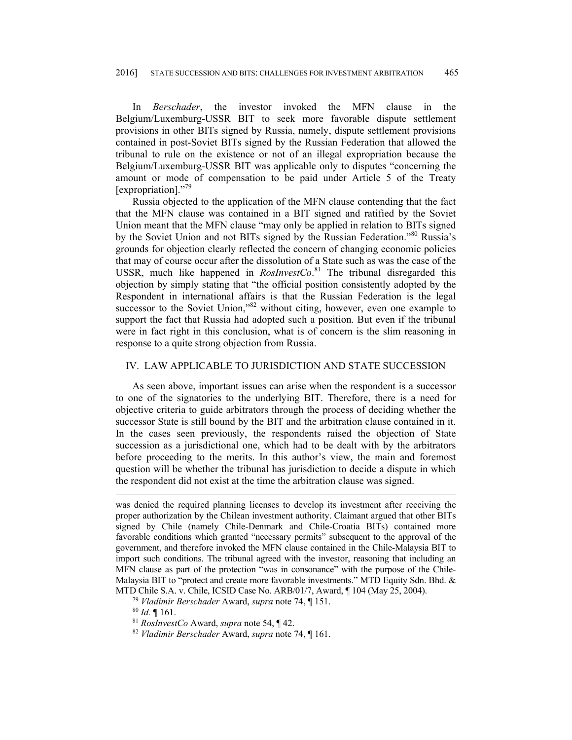In *Berschader*, the investor invoked the MFN clause in the Belgium/Luxemburg-USSR BIT to seek more favorable dispute settlement provisions in other BITs signed by Russia, namely, dispute settlement provisions contained in post-Soviet BITs signed by the Russian Federation that allowed the tribunal to rule on the existence or not of an illegal expropriation because the Belgium/Luxemburg-USSR BIT was applicable only to disputes "concerning the amount or mode of compensation to be paid under Article 5 of the Treaty [expropriation]."<sup>79</sup>

Russia objected to the application of the MFN clause contending that the fact that the MFN clause was contained in a BIT signed and ratified by the Soviet Union meant that the MFN clause "may only be applied in relation to BITs signed by the Soviet Union and not BITs signed by the Russian Federation."80 Russia's grounds for objection clearly reflected the concern of changing economic policies that may of course occur after the dissolution of a State such as was the case of the USSR, much like happened in *RosInvestCo*. 81 The tribunal disregarded this objection by simply stating that "the official position consistently adopted by the Respondent in international affairs is that the Russian Federation is the legal successor to the Soviet Union,"<sup>82</sup> without citing, however, even one example to support the fact that Russia had adopted such a position. But even if the tribunal were in fact right in this conclusion, what is of concern is the slim reasoning in response to a quite strong objection from Russia.

# IV. LAW APPLICABLE TO JURISDICTION AND STATE SUCCESSION

As seen above, important issues can arise when the respondent is a successor to one of the signatories to the underlying BIT. Therefore, there is a need for objective criteria to guide arbitrators through the process of deciding whether the successor State is still bound by the BIT and the arbitration clause contained in it. In the cases seen previously, the respondents raised the objection of State succession as a jurisdictional one, which had to be dealt with by the arbitrators before proceeding to the merits. In this author's view, the main and foremost question will be whether the tribunal has jurisdiction to decide a dispute in which the respondent did not exist at the time the arbitration clause was signed.

 $\overline{a}$ 

was denied the required planning licenses to develop its investment after receiving the proper authorization by the Chilean investment authority. Claimant argued that other BITs signed by Chile (namely Chile-Denmark and Chile-Croatia BITs) contained more favorable conditions which granted "necessary permits" subsequent to the approval of the government, and therefore invoked the MFN clause contained in the Chile-Malaysia BIT to import such conditions. The tribunal agreed with the investor, reasoning that including an MFN clause as part of the protection "was in consonance" with the purpose of the Chile-Malaysia BIT to "protect and create more favorable investments." MTD Equity Sdn. Bhd. & MTD Chile S.A. v. Chile, ICSID Case No. ARB/01/7, Award, ¶ 104 (May 25, 2004).<br><sup>79</sup> *Vladimir Berschader* Award, *supra* note 74, ¶ 151.<br><sup>80</sup> *Id*. ¶ 161.<br><sup>81</sup> *RosInvestCo* Award, *supra* note 54, ¶ 42.<br><sup>82</sup> *Vladimir Be*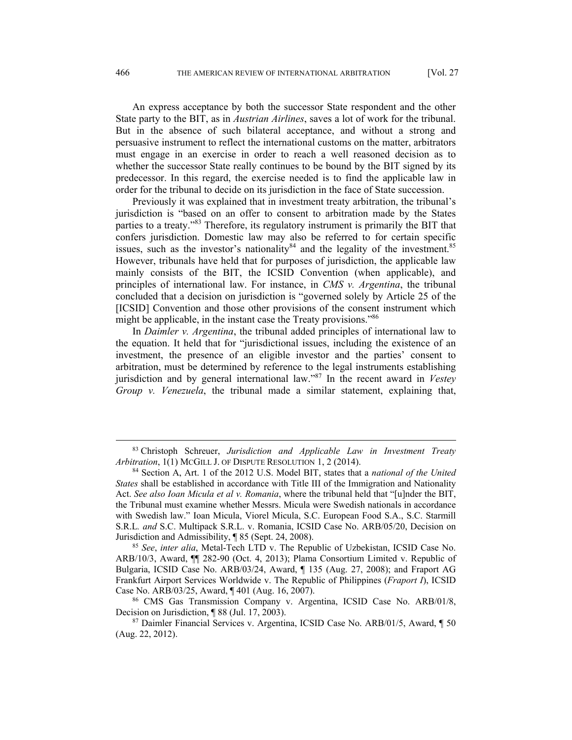An express acceptance by both the successor State respondent and the other State party to the BIT, as in *Austrian Airlines*, saves a lot of work for the tribunal. But in the absence of such bilateral acceptance, and without a strong and persuasive instrument to reflect the international customs on the matter, arbitrators must engage in an exercise in order to reach a well reasoned decision as to whether the successor State really continues to be bound by the BIT signed by its predecessor. In this regard, the exercise needed is to find the applicable law in order for the tribunal to decide on its jurisdiction in the face of State succession.

Previously it was explained that in investment treaty arbitration, the tribunal's jurisdiction is "based on an offer to consent to arbitration made by the States parties to a treaty."83 Therefore, its regulatory instrument is primarily the BIT that confers jurisdiction. Domestic law may also be referred to for certain specific issues, such as the investor's nationality  $84$  and the legality of the investment.  $85$ However, tribunals have held that for purposes of jurisdiction, the applicable law mainly consists of the BIT, the ICSID Convention (when applicable), and principles of international law. For instance, in *CMS v. Argentina*, the tribunal concluded that a decision on jurisdiction is "governed solely by Article 25 of the [ICSID] Convention and those other provisions of the consent instrument which might be applicable, in the instant case the Treaty provisions."86

In *Daimler v. Argentina*, the tribunal added principles of international law to the equation. It held that for "jurisdictional issues, including the existence of an investment, the presence of an eligible investor and the parties' consent to arbitration, must be determined by reference to the legal instruments establishing jurisdiction and by general international law."87 In the recent award in *Vestey Group v. Venezuela*, the tribunal made a similar statement, explaining that,

 <sup>83</sup> Christoph Schreuer, *Jurisdiction and Applicable Law in Investment Treaty Arbitration*, 1(1) MCGILL J. OF DISPUTE RESOLUTION 1, 2 (2014). 84 Section A, Art. 1 of the 2012 U.S. Model BIT, states that a *national of the United* 

*States* shall be established in accordance with Title III of the Immigration and Nationality Act. *See also Ioan Micula et al v. Romania*, where the tribunal held that "[u]nder the BIT, the Tribunal must examine whether Messrs. Micula were Swedish nationals in accordance with Swedish law." Ioan Micula, Viorel Micula, S.C. European Food S.A., S.C. Starmill S.R.L*. and* S.C. Multipack S.R.L. v. Romania, ICSID Case No. ARB/05/20, Decision on Jurisdiction and Admissibility, ¶ 85 (Sept. 24, 2008). 85 *See*, *inter alia*, Metal-Tech LTD v. The Republic of Uzbekistan, ICSID Case No.

ARB/10/3, Award, ¶¶ 282-90 (Oct. 4, 2013); Plama Consortium Limited v. Republic of Bulgaria, ICSID Case No. ARB/03/24, Award, ¶ 135 (Aug. 27, 2008); and Fraport AG Frankfurt Airport Services Worldwide v. The Republic of Philippines (*Fraport I*), ICSID Case No. ARB/03/25, Award, ¶ 401 (Aug. 16, 2007).<br><sup>86</sup> CMS Gas Transmission Company v. Argentina, ICSID Case No. ARB/01/8,

Decision on Jurisdiction, ¶ 88 (Jul. 17, 2003).<br><sup>87</sup> Daimler Financial Services v. Argentina, ICSID Case No. ARB/01/5, Award, ¶ 50

<sup>(</sup>Aug. 22, 2012).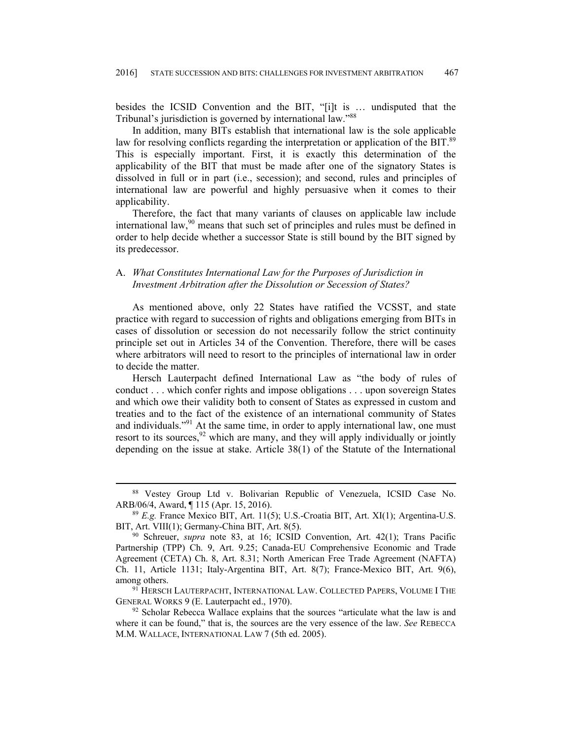besides the ICSID Convention and the BIT, "[i]t is … undisputed that the Tribunal's jurisdiction is governed by international law."88

In addition, many BITs establish that international law is the sole applicable law for resolving conflicts regarding the interpretation or application of the BIT.<sup>89</sup> This is especially important. First, it is exactly this determination of the applicability of the BIT that must be made after one of the signatory States is dissolved in full or in part (i.e., secession); and second, rules and principles of international law are powerful and highly persuasive when it comes to their applicability.

Therefore, the fact that many variants of clauses on applicable law include international law,  $90$  means that such set of principles and rules must be defined in order to help decide whether a successor State is still bound by the BIT signed by its predecessor.

# A. *What Constitutes International Law for the Purposes of Jurisdiction in Investment Arbitration after the Dissolution or Secession of States?*

As mentioned above, only 22 States have ratified the VCSST, and state practice with regard to succession of rights and obligations emerging from BITs in cases of dissolution or secession do not necessarily follow the strict continuity principle set out in Articles 34 of the Convention. Therefore, there will be cases where arbitrators will need to resort to the principles of international law in order to decide the matter.

Hersch Lauterpacht defined International Law as "the body of rules of conduct . . . which confer rights and impose obligations . . . upon sovereign States and which owe their validity both to consent of States as expressed in custom and treaties and to the fact of the existence of an international community of States and individuals."<sup>91</sup> At the same time, in order to apply international law, one must resort to its sources,  $92$  which are many, and they will apply individually or jointly depending on the issue at stake. Article 38(1) of the Statute of the International

 <sup>88</sup> Vestey Group Ltd v. Bolivarian Republic of Venezuela, ICSID Case No. ARB/06/4, Award, ¶ 115 (Apr. 15, 2016). 89 *E.g.* France Mexico BIT, Art. 11(5); U.S.-Croatia BIT, Art. XI(1); Argentina-U.S.

BIT, Art. VIII(1); Germany-China BIT, Art. 8(5).<br><sup>90</sup> Schreuer, *supra* note 83, at 16; ICSID Convention, Art. 42(1); Trans Pacific

Partnership (TPP) Ch. 9, Art. 9.25; Canada-EU Comprehensive Economic and Trade Agreement (CETA) Ch. 8, Art. 8.31; North American Free Trade Agreement (NAFTA) Ch. 11, Article 1131; Italy-Argentina BIT, Art. 8(7); France-Mexico BIT, Art. 9(6), among others.<br><sup>91</sup> HERSCH LAUTERPACHT, INTERNATIONAL LAW. COLLECTED PAPERS, VOLUME I THE

GENERAL WORKS 9 (E. Lauterpacht ed., 1970).<br><sup>92</sup> Scholar Rebecca Wallace explains that the sources "articulate what the law is and

where it can be found," that is, the sources are the very essence of the law. *See* REBECCA M.M. WALLACE, INTERNATIONAL LAW 7 (5th ed. 2005).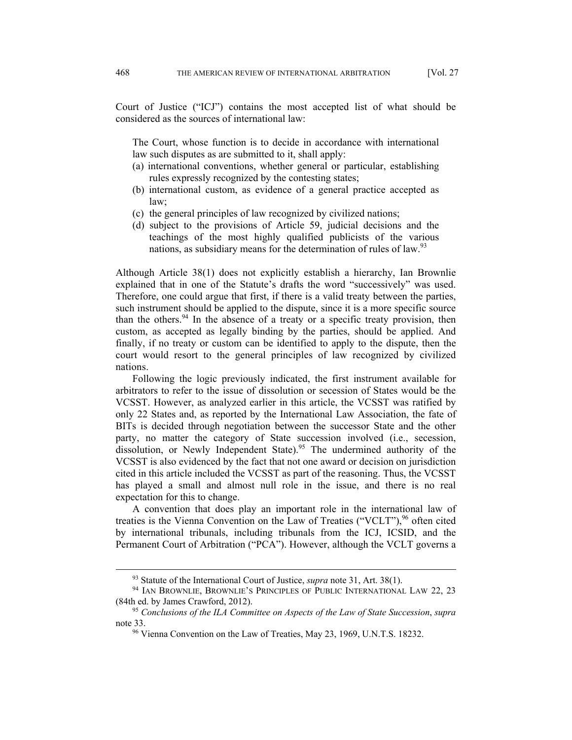Court of Justice ("ICJ") contains the most accepted list of what should be considered as the sources of international law:

The Court, whose function is to decide in accordance with international law such disputes as are submitted to it, shall apply:

- (a) international conventions, whether general or particular, establishing rules expressly recognized by the contesting states;
- (b) international custom, as evidence of a general practice accepted as law;
- (c) the general principles of law recognized by civilized nations;
- (d) subject to the provisions of Article 59, judicial decisions and the teachings of the most highly qualified publicists of the various nations, as subsidiary means for the determination of rules of law.<sup>93</sup>

Although Article 38(1) does not explicitly establish a hierarchy, Ian Brownlie explained that in one of the Statute's drafts the word "successively" was used. Therefore, one could argue that first, if there is a valid treaty between the parties, such instrument should be applied to the dispute, since it is a more specific source than the others.  $94$  In the absence of a treaty or a specific treaty provision, then custom, as accepted as legally binding by the parties, should be applied. And finally, if no treaty or custom can be identified to apply to the dispute, then the court would resort to the general principles of law recognized by civilized nations.

Following the logic previously indicated, the first instrument available for arbitrators to refer to the issue of dissolution or secession of States would be the VCSST. However, as analyzed earlier in this article, the VCSST was ratified by only 22 States and, as reported by the International Law Association, the fate of BITs is decided through negotiation between the successor State and the other party, no matter the category of State succession involved (i.e., secession, dissolution, or Newly Independent State).<sup>95</sup> The undermined authority of the VCSST is also evidenced by the fact that not one award or decision on jurisdiction cited in this article included the VCSST as part of the reasoning. Thus, the VCSST has played a small and almost null role in the issue, and there is no real expectation for this to change.

A convention that does play an important role in the international law of treaties is the Vienna Convention on the Law of Treaties ("VCLT"),  $96$  often cited by international tribunals, including tribunals from the ICJ, ICSID, and the Permanent Court of Arbitration ("PCA"). However, although the VCLT governs a

<sup>&</sup>lt;sup>93</sup> Statute of the International Court of Justice, *supra* note 31, Art. 38(1).<br><sup>94</sup> IAN BROWNLIE, BROWNLIE'S PRINCIPLES OF PUBLIC INTERNATIONAL LAW 22, 23 (84th ed. by James Crawford, 2012). 95 *Conclusions of the ILA Committee on Aspects of the Law of State Succession*, *supra*

note 33.<br><sup>96</sup> Vienna Convention on the Law of Treaties, May 23, 1969, U.N.T.S. 18232.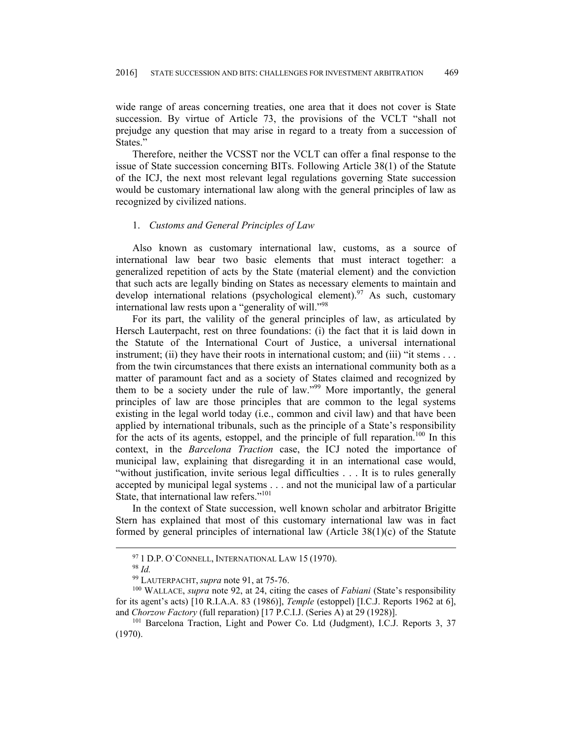wide range of areas concerning treaties, one area that it does not cover is State succession. By virtue of Article 73, the provisions of the VCLT "shall not prejudge any question that may arise in regard to a treaty from a succession of States."

Therefore, neither the VCSST nor the VCLT can offer a final response to the issue of State succession concerning BITs. Following Article 38(1) of the Statute of the ICJ, the next most relevant legal regulations governing State succession would be customary international law along with the general principles of law as recognized by civilized nations.

## 1. *Customs and General Principles of Law*

Also known as customary international law, customs, as a source of international law bear two basic elements that must interact together: a generalized repetition of acts by the State (material element) and the conviction that such acts are legally binding on States as necessary elements to maintain and develop international relations (psychological element).<sup>97</sup> As such, customary international law rests upon a "generality of will."<sup>98</sup>

For its part, the valility of the general principles of law, as articulated by Hersch Lauterpacht, rest on three foundations: (i) the fact that it is laid down in the Statute of the International Court of Justice, a universal international instrument; (ii) they have their roots in international custom; and (iii) "it stems  $\dots$ from the twin circumstances that there exists an international community both as a matter of paramount fact and as a society of States claimed and recognized by them to be a society under the rule of law."<sup>99</sup> More importantly, the general principles of law are those principles that are common to the legal systems existing in the legal world today (i.e., common and civil law) and that have been applied by international tribunals, such as the principle of a State's responsibility for the acts of its agents, estoppel, and the principle of full reparation.<sup>100</sup> In this context, in the *Barcelona Traction* case, the ICJ noted the importance of municipal law, explaining that disregarding it in an international case would, "without justification, invite serious legal difficulties . . . It is to rules generally accepted by municipal legal systems . . . and not the municipal law of a particular State, that international law refers."101

In the context of State succession, well known scholar and arbitrator Brigitte Stern has explained that most of this customary international law was in fact formed by general principles of international law (Article  $38(1)(c)$ ) of the Statute

<sup>97</sup> <sup>1</sup> D.P. O`CONNELL, INTERNATIONAL LAW 15 (1970). 98 *Id.*

<sup>&</sup>lt;sup>99</sup> LAUTERPACHT, *supra* note 91, at 75-76.<br><sup>100</sup> WALLACE, *supra* note 92, at 24, citing the cases of *Fabiani* (State's responsibility for its agent's acts) [10 R.I.A.A. 83 (1986)], *Temple* (estoppel) [I.C.J. Reports 1962 at 6], and *Chorzow Factory* (full reparation) [17 P.C.I.J. (Series A) at 29 (1928)].<br><sup>101</sup> Barcelona Traction, Light and Power Co. Ltd (Judgment), I.C.J. Reports 3, 37

<sup>(1970).</sup>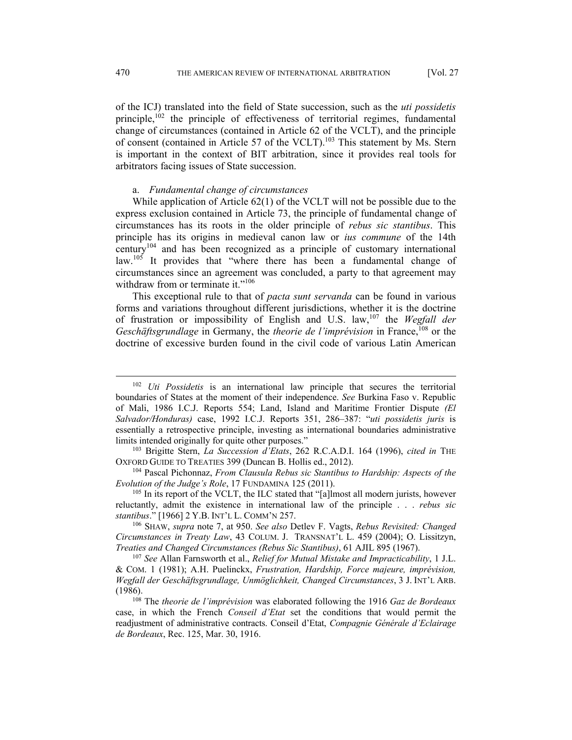of the ICJ) translated into the field of State succession, such as the *uti possidetis* principle,<sup>102</sup> the principle of effectiveness of territorial regimes, fundamental change of circumstances (contained in Article 62 of the VCLT), and the principle of consent (contained in Article 57 of the VCLT).<sup>103</sup> This statement by Ms. Stern is important in the context of BIT arbitration, since it provides real tools for arbitrators facing issues of State succession.

## a. *Fundamental change of circumstances*

While application of Article 62(1) of the VCLT will not be possible due to the express exclusion contained in Article 73, the principle of fundamental change of circumstances has its roots in the older principle of *rebus sic stantibus*. This principle has its origins in medieval canon law or *ius commune* of the 14th century<sup>104</sup> and has been recognized as a principle of customary international law.<sup>105</sup> It provides that "where there has been a fundamental change of circumstances since an agreement was concluded, a party to that agreement may withdraw from or terminate it."<sup>106</sup>

This exceptional rule to that of *pacta sunt servanda* can be found in various forms and variations throughout different jurisdictions, whether it is the doctrine of frustration or impossibility of English and U.S. law,107 the *Wegfall der Geschäftsgrundlage* in Germany, the *theorie de l'imprévision* in France,<sup>108</sup> or the doctrine of excessive burden found in the civil code of various Latin American

 <sup>102</sup> *Uti Possidetis* is an international law principle that secures the territorial boundaries of States at the moment of their independence. *See* Burkina Faso v. Republic of Mali, 1986 I.C.J. Reports 554; Land, Island and Maritime Frontier Dispute *(El Salvador/Honduras)* case, 1992 I.C.J. Reports 351, 286–387: "*uti possidetis juris* is essentially a retrospective principle, investing as international boundaries administrative limits intended originally for quite other purposes." 103 Brigitte Stern, *La Succession d'Etats*, 262 R.C.A.D.I. 164 (1996), *cited in* THE

OXFORD GUIDE TO TREATIES 399 (Duncan B. Hollis ed., 2012). 104 Pascal Pichonnaz, *From Clausula Rebus sic Stantibus to Hardship: Aspects of the* 

*Evolution of the Judge's Role*, 17 FUNDAMINA 125 (2011).<br><sup>105</sup> In its report of the VCLT, the ILC stated that "[a]lmost all modern jurists, however

reluctantly, admit the existence in international law of the principle . . . *rebus sic stantibus*." [1966] 2 Y.B. INT'L L. COMM'N 257. 106 SHAW, *supra* note 7, at 950. *See also* Detlev F. Vagts, *Rebus Revisited: Changed* 

*Circumstances in Treaty Law*, 43 COLUM. J. TRANSNAT'L L. 459 (2004); O. Lissitzyn, *Treaties and Changed Circumstances (Rebus Sic Stantibus)*, 61 AJIL 895 (1967).<br><sup>107</sup> *See* Allan Farnsworth et al., *Relief for Mutual Mistake and Impracticability*, 1 J.L.

<sup>&</sup>amp; COM. 1 (1981); A.H. Puelinckx, *Frustration, Hardship, Force majeure, imprévision, Wegfall der Geschäftsgrundlage, Unmöglichkeit, Changed Circumstances*, 3 J. INT'L ARB. (1986). 108 The *theorie de l'imprévision* was elaborated following the 1916 *Gaz de Bordeaux*

case, in which the French *Conseil d'Etat* set the conditions that would permit the readjustment of administrative contracts. Conseil d'Etat, *Compagnie Générale d'Eclairage de Bordeaux*, Rec. 125, Mar. 30, 1916.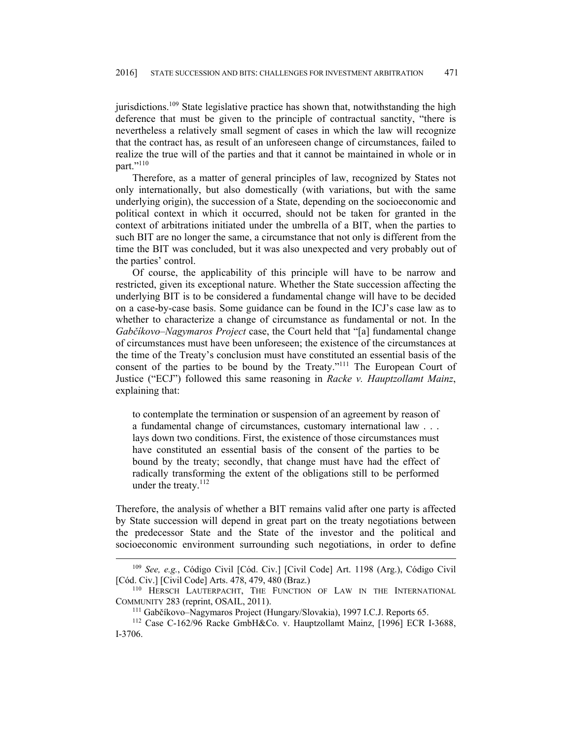jurisdictions.<sup>109</sup> State legislative practice has shown that, notwithstanding the high deference that must be given to the principle of contractual sanctity, "there is nevertheless a relatively small segment of cases in which the law will recognize that the contract has, as result of an unforeseen change of circumstances, failed to realize the true will of the parties and that it cannot be maintained in whole or in part."<sup>110</sup>

Therefore, as a matter of general principles of law, recognized by States not only internationally, but also domestically (with variations, but with the same underlying origin), the succession of a State, depending on the socioeconomic and political context in which it occurred, should not be taken for granted in the context of arbitrations initiated under the umbrella of a BIT, when the parties to such BIT are no longer the same, a circumstance that not only is different from the time the BIT was concluded, but it was also unexpected and very probably out of the parties' control.

Of course, the applicability of this principle will have to be narrow and restricted, given its exceptional nature. Whether the State succession affecting the underlying BIT is to be considered a fundamental change will have to be decided on a case-by-case basis. Some guidance can be found in the ICJ's case law as to whether to characterize a change of circumstance as fundamental or not. In the *Gabčíkovo–Nagymaros Project* case, the Court held that "[a] fundamental change of circumstances must have been unforeseen; the existence of the circumstances at the time of the Treaty's conclusion must have constituted an essential basis of the consent of the parties to be bound by the Treaty."111 The European Court of Justice ("ECJ") followed this same reasoning in *Racke v. Hauptzollamt Mainz*, explaining that:

to contemplate the termination or suspension of an agreement by reason of a fundamental change of circumstances, customary international law . . . lays down two conditions. First, the existence of those circumstances must have constituted an essential basis of the consent of the parties to be bound by the treaty; secondly, that change must have had the effect of radically transforming the extent of the obligations still to be performed under the treaty.<sup>112</sup>

Therefore, the analysis of whether a BIT remains valid after one party is affected by State succession will depend in great part on the treaty negotiations between the predecessor State and the State of the investor and the political and socioeconomic environment surrounding such negotiations, in order to define

 <sup>109</sup> *See, e.g.*, Código Civil [Cód. Civ.] [Civil Code] Art. 1198 (Arg.), Código Civil

<sup>[</sup>Cód. Civ.] [Civil Code] Arts. 478, 479, 480 (Braz.)<br><sup>110</sup> HERSCH LAUTERPACHT, THE FUNCTION OF LAW IN THE INTERNATIONAL<br>COMMUNITY 283 (reprint, OSAIL, 2011).

<sup>&</sup>lt;sup>111</sup> Gabčíkovo–Nagymaros Project (Hungary/Slovakia), 1997 I.C.J. Reports 65. <sup>112</sup> Case C-162/96 Racke GmbH&Co. v. Hauptzollamt Mainz, [1996] ECR I-3688, I-3706.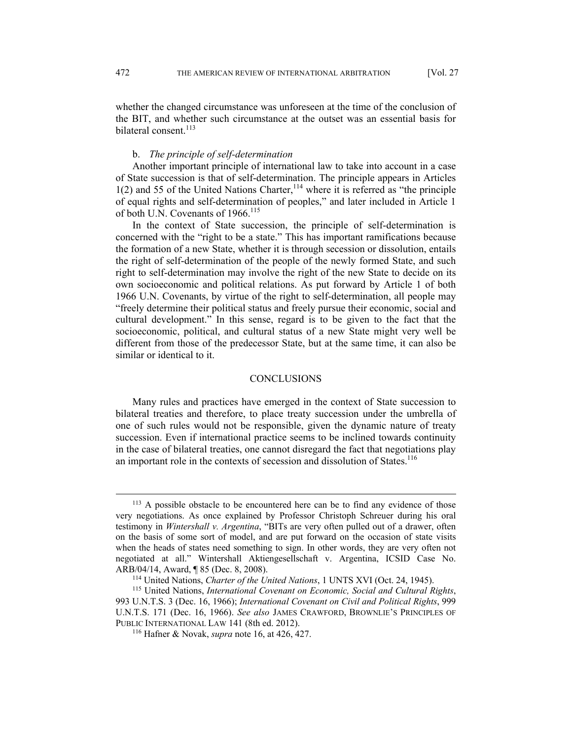whether the changed circumstance was unforeseen at the time of the conclusion of the BIT, and whether such circumstance at the outset was an essential basis for bilateral consent.<sup>113</sup>

#### b. *The principle of self-determination*

Another important principle of international law to take into account in a case of State succession is that of self-determination. The principle appears in Articles  $1(2)$  and 55 of the United Nations Charter,  $114$  where it is referred as "the principle of equal rights and self-determination of peoples," and later included in Article 1 of both U.N. Covenants of 1966.<sup>115</sup>

In the context of State succession, the principle of self-determination is concerned with the "right to be a state." This has important ramifications because the formation of a new State, whether it is through secession or dissolution, entails the right of self-determination of the people of the newly formed State, and such right to self-determination may involve the right of the new State to decide on its own socioeconomic and political relations. As put forward by Article 1 of both 1966 U.N. Covenants, by virtue of the right to self-determination, all people may "freely determine their political status and freely pursue their economic, social and cultural development." In this sense, regard is to be given to the fact that the socioeconomic, political, and cultural status of a new State might very well be different from those of the predecessor State, but at the same time, it can also be similar or identical to it.

### **CONCLUSIONS**

Many rules and practices have emerged in the context of State succession to bilateral treaties and therefore, to place treaty succession under the umbrella of one of such rules would not be responsible, given the dynamic nature of treaty succession. Even if international practice seems to be inclined towards continuity in the case of bilateral treaties, one cannot disregard the fact that negotiations play an important role in the contexts of secession and dissolution of States.<sup>116</sup>

<sup>&</sup>lt;sup>113</sup> A possible obstacle to be encountered here can be to find any evidence of those very negotiations. As once explained by Professor Christoph Schreuer during his oral testimony in *Wintershall v. Argentina*, "BITs are very often pulled out of a drawer, often on the basis of some sort of model, and are put forward on the occasion of state visits when the heads of states need something to sign. In other words, they are very often not negotiated at all." Wintershall Aktiengesellschaft v. Argentina, ICSID Case No.

ARB/04/14, Award, ¶ 85 (Dec. 8, 2008).<br><sup>114</sup> United Nations, *Charter of the United Nations*, 1 UNTS XVI (Oct. 24, 1945).<br><sup>115</sup> United Nations, *International Covenant on Economic, Social and Cultural Rights*, 993 U.N.T.S. 3 (Dec. 16, 1966); *International Covenant on Civil and Political Rights*, 999 U.N.T.S. 171 (Dec. 16, 1966). *See also* JAMES CRAWFORD, BROWNLIE'S PRINCIPLES OF PUBLIC INTERNATIONAL LAW 141 (8th ed. 2012). 116 Hafner & Novak, *supra* note 16, at 426, 427.